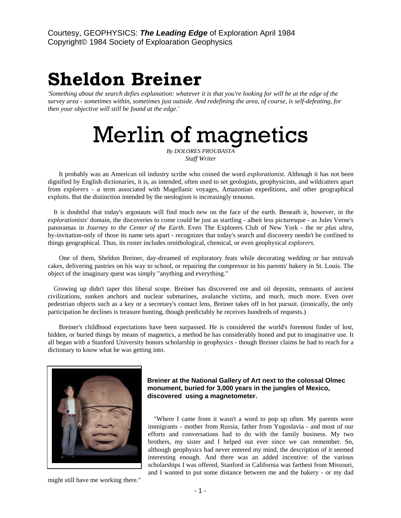## **Sheldon Breiner**

*'Something about the search defies explanation: whatever it is that you're looking for will be at the edge of the survey area - sometimes within, sometimes just outside. And redefining the area, of course, is self-defeating, for then your objective will still be found at the edge.'* 

Merlin of magnetics

*By DOLORES PROUBASTA Staff Writer* 

It probably was an American oil industry scribe who coined the word *explorationist.* Although it has not been dignified by English dictionaries, it is, as intended, often used to set geologists, geophysicists, and wildcatters apart from *explorers - a* term associated with Magellanic voyages, Amazonian expeditions, and other geographical exploits. But the distinction intended by the neologism is increasingly tenuous.

It is doubtful that today's argonauts will find much new on the face of the earth. Beneath it, however, in the *explorationists'* domain, the discoveries to come could be just as startling - albeit less picturesque - as Jules Verne's panoramas in *Journey to the Center of the Earth.* Even The Explorers Club of New York - the *ne plus ultra,*  by-invitation-only of those its name sets apart - recognizes that today's search and discovery needn't be confined to things geographical. Thus, its roster includes ornithological, chemical, or even geophysical *explorers.* 

One of them, Sheldon Breiner, day-dreamed of exploratory feats while decorating wedding or bar mitzvah cakes, delivering pastries on his way to school, or repairing the compressor in his parents' bakery in St. Louis. The object of the imaginary quest was simply "anything and everything."

Growing up didn't taper this liberal scope. Breiner has discovered ore and oil deposits, remnants of ancient civilizations, sunken anchors and nuclear submarines, avalanche victims, and much, much more. Even over pedestrian objects such as a key or a secretary's contact lens, Breiner takes off in hot pursuit. (ironically, the only participation he declines is treasure hunting, though predictably he receives hundreds of requests.)

Breiner's childhood expectations have been surpassed. He is considered the world's foremost finder of lost, hidden, or buried things by means of magnetics, a method he has considerably honed and put to imaginative use. It all began with a Stanford University honors scholarship in geophysics - though Breiner claims he had to reach for a dictionary to know what he was getting into.



might still have me working there."

## **Breiner at the National Gallery of Art next to the colossal Olmec monument, buried for 3,000 years in the jungles of Mexico, discovered using a magnetometer.**

"Where I came from it wasn't a word to pop up often. My parents were immigrants - mother from Russia, father from Yugoslavia - and most of our efforts and conversations had to do with the family business. My two brothers, my sister and I helped out ever since we can remember. So, although geophysics had never entered my mind, the description of it seemed interesting enough. And there was an added incentive: of the various scholarships I was offered, Stanford in California was farthest from Missouri, and I wanted to put some distance between me and the bakery - or my dad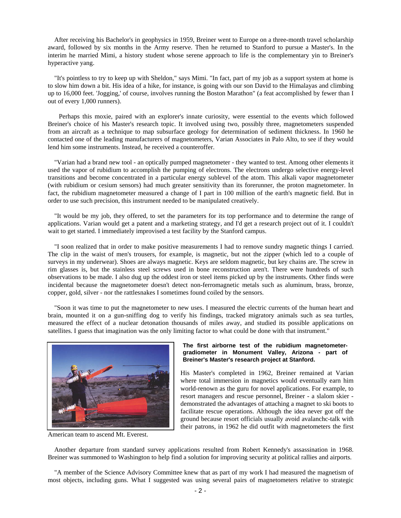After receiving his Bachelor's in geophysics in 1959, Breiner went to Europe on a three-month travel scholarship award, followed by six months in the Army reserve. Then he returned to Stanford to pursue a Master's. In the interim he married Mimi, a history student whose serene approach to life is the complementary yin to Breiner's hyperactive yang.

"It's pointless to try to keep up with Sheldon," says Mimi. "In fact, part of my job as a support system at home is to slow him down a bit. His idea of a hike, for instance, is going with our son David to the Himalayas and climbing up to 16,000 feet. 'Jogging,' of course, involves running the Boston Marathon" (a feat accomplished by fewer than I out of every 1,000 runners).

Perhaps this moxie, paired with an explorer's innate curiosity, were essential to the events which followed Breiner's choice of his Master's research topic. It involved using two, possibly three, magnetometers suspended from an aircraft as a technique to map subsurface geology for determination of sediment thickness. In 1960 he contacted one of the leading manufacturers of magnetometers, Varian Associates in Palo Alto, to see if they would lend him some instruments. Instead, he received a counteroffer.

"Varian had a brand new tool - an optically pumped magnetometer - they wanted to test. Among other elements it used the vapor of rubidium to accomplish the pumping of electrons. The electrons undergo selective energy-level transitions and become concentrated in a particular energy sublevel of the atom. This alkali vapor magnetometer (with rubidium or cesium sensors) had much greater sensitivity than its forerunner, the proton magnetometer. In fact, the rubidium magnetometer measured a change of I part in 100 million of the earth's magnetic field. But in order to use such precision, this instrument needed to be manipulated creatively.

"It would be my job, they offered, to set the parameters for its top performance and to determine the range of applications. Varian would get a patent and a marketing strategy, and I'd get a research project out of it. I couldn't wait to get started. I immediately improvised a test facility by the Stanford campus.

"I soon realized that in order to make positive measurements I had to remove sundry magnetic things I carried. The clip in the waist of men's trousers, for example, is magnetic, but not the zipper (which led to a couple of surveys in my underwear). Shoes are always magnetic. Keys are seldom magnetic, but key chains are. The screw in rim glasses is, but the stainless steel screws used in bone reconstruction aren't. There were hundreds of such observations to be made. I also dug up the oddest iron or steel items picked up by the instruments. Other finds were incidental because the magnetometer doesn't detect non-ferromagnetic metals such as aluminum, brass, bronze, copper, gold, silver - nor the rattlesnakes I sometimes found coiled by the sensors.

"Soon it was time to put the magnetometer to new uses. I measured the electric currents of the human heart and brain, mounted it on a gun-sniffing dog to verify his findings, tracked migratory animals such as sea turtles, measured the effect of a nuclear detonation thousands of miles away, and studied its possible applications on satellites. I guess that imagination was the only limiting factor to what could be done with that instrument."



American team to ascend Mt. Everest.

## **The first airborne test of the rubidium magnetometergradiometer in Monument Valley, Arizona - part of Breiner's Master's research project at Stanford.**

His Master's completed in 1962, Breiner remained at Varian where total immersion in magnetics would eventually earn him world-renown as the guru for novel applications. For example, to resort managers and rescue personnel, Breiner - a slalom skier demonstrated the advantages of attaching a magnet to ski boots to facilitate rescue operations. Although the idea never got off the ground because resort officials usually avoid avalanchc-talk with their patrons, in 1962 he did outfit with magnetometers the first

Another departure from standard survey applications resulted from Robert Kennedy's assassination in 1968. Breiner was summoned to Washington to help find a solution for improving security at political rallies and airports.

"A member of the Science Advisory Committee knew that as part of my work I had measured the magnetism of most objects, including guns. What I suggested was using several pairs of magnetometers relative to strategic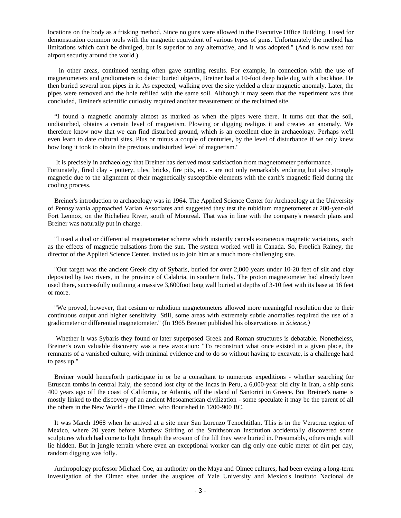locations on the body as a frisking method. Since no guns were allowed in the Executive Office Building, I used for demonstration common tools with the magnetic equivalent of various types of guns. Unfortunately the method has limitations which can't be divulged, but is superior to any alternative, and it was adopted." (And is now used for airport security around the world.)

in other areas, continued testing often gave startling results. For example, in connection with the use of magnetometers and gradiometers to detect buried objects, Breiner had a 10-foot deep hole dug with a backhoe. He then buried several iron pipes in it. As expected, walking over the site yielded a clear magnetic anomaly. Later, the pipes were removed and the hole refilled with the same soil. Although it may seem that the experiment was thus concluded, Breiner's scientific curiosity required another measurement of the reclaimed site.

"I found a magnetic anomaly almost as marked as when the pipes were there. It turns out that the soil, undisturbed, obtains a certain level of magnetism. Plowing or digging realigns it and creates an anomaly. We therefore know now that we can find disturbed ground, which is an excellent clue in archaeology. Perhaps we'll even learn to date cultural sites, Plus or minus a couple of centuries, by the level of disturbance if we only knew how long it took to obtain the previous undisturbed level of magnetism."

It is precisely in archaeology that Breiner has derived most satisfaction from magnetometer performance. Fortunately, fired clay - pottery, tiles, bricks, fire pits, etc. - are not only remarkably enduring but also strongly magnetic due to the alignment of their magnetically susceptible elements with the earth's magnetic field during the cooling process.

Breiner's introduction to archaeology was in 1964. The Applied Science Center for Archaeology at the University of Pennsylvania approached Varian Associates and suggested they test the rubidium magnetometer at 200-year-old Fort Lennox, on the Richelieu River, south of Montreal. That was in line with the company's research plans and Breiner was naturally put in charge.

"I used a dual or differential magnetometer scheme which instantly cancels extraneous magnetic variations, such as the effects of magnetic pulsations from the sun. The system worked well in Canada. So, Froelich Rainey, the director of the Applied Science Center, invited us to join him at a much more challenging site.

"Our target was the ancient Greek city of Sybaris, buried for over 2,000 years under 10-20 feet of silt and clay deposited by two rivers, in the province of Calabria, in southern Italy. The proton magnetometer had already been used there, successfully outlining a massive 3,600foot long wall buried at depths of 3-10 feet with its base at 16 feet or more.

"We proved, however, that cesium or rubidium magnetometers allowed more meaningful resolution due to their continuous output and higher sensitivity. Still, some areas with extremely subtle anomalies required the use of a gradiometer or differential magnetometer." (In 1965 Breiner published his observations in *Science.)* 

Whether it was Sybaris they found or later superposed Greek and Roman structures is debatable. Nonetheless, Breiner's own valuable discovery was a new avocation: "To reconstruct what once existed in a given place, the remnants of a vanished culture, with minimal evidence and to do so without having to excavate, is a challenge hard to pass up."

Breiner would henceforth participate in or be a consultant to numerous expeditions - whether searching for Etruscan tombs in central Italy, the second lost city of the Incas in Peru, a 6,000-year old city in Iran, a ship sunk 400 years ago off the coast of California, or Atlantis, off the island of Santorini in Greece. But Breiner's name is mostly linked to the discovery of an ancient Mesoamerican civilization - some speculate it may be the parent of all the others in the New World - the Olmec, who flourished in 1200-900 BC.

It was March 1968 when he arrived at a site near San Lorenzo Tenochtitlan. This is in the Veracruz region of Mexico, where 20 years before Matthew Stirling of the Smithsonian Institution accidentally discovered some sculptures which had come to light through the erosion of the fill they were buried in. Presumably, others might still lie hidden. But in jungle terrain where even an exceptional worker can dig only one cubic meter of dirt per day, random digging was folly.

Anthropology professor Michael Coe, an authority on the Maya and Olmec cultures, had been eyeing a long-term investigation of the Olmec sites under the auspices of Yale University and Mexico's Instituto Nacional de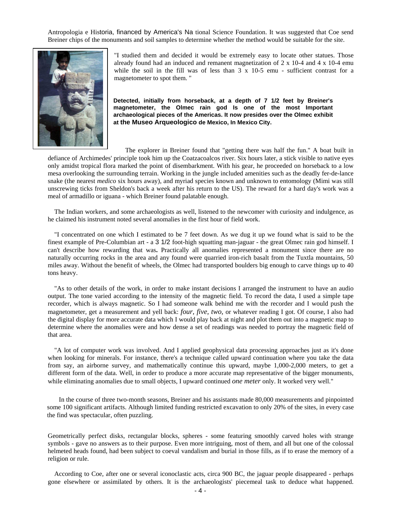Antropologia e Historia, financed by America's Na tional Science Foundation. It was suggested that Coe send Breiner chips of the monuments and soil samples to determine whether the method would be suitable for the site.



"I studied them and decided it would be extremely easy to locate other statues. Those already found had an induced and remanent magnetization of 2 x 10-4 and 4 x 10-4 emu while the soil in the fill was of less than  $3 \times 10^{-5}$  emu - sufficient contrast for a magnetometer to spot them. "

**Detected, initially from horseback, at a depth of 7 1/2 feet by Breiner's magnetometer, the Olmec rain god Is one of the most Important archaeological pieces of the Americas. It now presides over the Olmec exhibit at the Museo Arqueologico de Mexico, In Mexico City.** 

The explorer in Breiner found that "getting there was half the fun." A boat built in defiance of Archimedes' principle took him up the Coatzacoalcos river. Six hours later, a stick visible to native eyes only amidst tropical flora marked the point of disembarkment. With his gear, he proceeded on horseback to a low mesa overlooking the surrounding terrain. Working in the jungle included amenities such as the deadly fer-de-lance snake (the nearest *medico* six hours away), and myriad species known and unknown to entomology (Mimi was still unscrewing ticks from Sheldon's back a week after his return to the US). The reward for a hard day's work was a meal of armadillo or iguana - which Breiner found palatable enough.

The Indian workers, and some archaeologists as well, listened to the newcomer with curiosity and indulgence, as he claimed his instrument noted several anomalies in the first hour of field work.

"I concentrated on one which I estimated to be 7 feet down. As we dug it up we found what is said to be the finest example of Pre-Columbian art - a 3 1/2 foot-high squatting man-jaguar - the great Olmec rain god himself. I can't describe how rewarding that was**.** Practically all anomalies represented a monument since there are no naturally occurring rocks in the area and any found were quarried iron-rich basalt from the Tuxtla mountains, 50 miles away. Without the benefit of wheels, the Olmec had transported boulders big enough to carve things up to 40 tons heavy.

"As to other details of the work, in order to make instant decisions I arranged the instrument to have an audio output. The tone varied according to the intensity of the magnetic field. To record the data, I used a simple tape recorder, which is always magnetic. So I had someone walk behind me with the recorder and I would push the magnetometer, get a measurement and yell back: *four, five, two,* or whatever reading I got. Of course, I also had the digital display for more accurate data which I would play back at night and plot them out into a magnetic map to determine where the anomalies were and how dense a set of readings was needed to portray the magnetic field of that area.

"A lot of computer work was involved. And I applied geophysical data processing approaches just as it's done when looking for minerals. For instance, there's a technique called upward continuation where you take the data from say, an airborne survey, and mathematically continue this upward, maybe 1,000-2,000 meters, to get a different form of the data. Well, in order to produce a more accurate map representative of the bigger monuments, while eliminating anomalies due to small objects, I upward continued *one meter* only. It worked very well."

In the course of three two-month seasons, Breiner and his assistants made 80,000 measurements and pinpointed some 100 significant artifacts. Although limited funding restricted excavation to only 20% of the sites, in every case the find was spectacular, often puzzling.

Geometrically perfect disks, rectangular blocks, spheres - some featuring smoothly carved holes with strange symbols - gave no answers as to their purpose. Even more intriguing, most of them, and all but one of the colossal helmeted heads found, had been subject to coeval vandalism and burial in those fills, as if to erase the memory of a religion or rule.

According to Coe, after one or several iconoclastic acts, circa 900 BC, the jaguar people disappeared - perhaps gone elsewhere or assimilated by others. It is the archaeologists' piecemeal task to deduce what happened.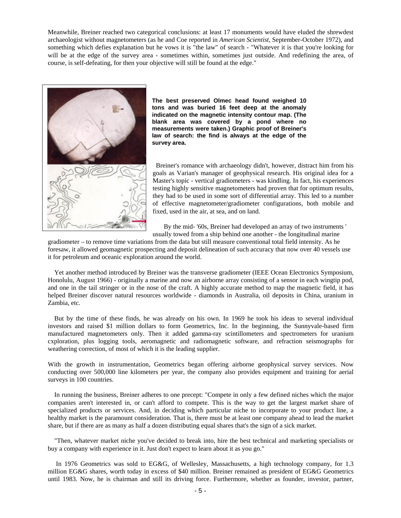Meanwhile, Breiner reached two categorical conclusions: at least 17 monuments would have eluded the shrewdest archaeologist without magnetometers (as he and Coe reported in *American Scientist,* September-October 1972), and something which defies explanation but he vows it is "the law" of search - "Whatever it is that you're looking for will be at the edge of the survey area - sometimes within, sometimes just outside. And redefining the area, of course, is self-defeating, for then your objective will still be found at the edge."



**The best preserved Olmec head found weighed 10 tons and was buried 16 feet deep at the anomaly indicated on the magnetic intensity contour map. (The blank area was covered by a pond where no measurements were taken.) Graphic proof of Breiner's law of search: the find is always at the edge of the survey area.** 

 Breiner's romance with archaeology didn't, however, distract him from his goals as Varian's manager of geophysical research. His original idea for a Master's topic - vertical gradiometers - was kindling. In fact, his experiences testing highly sensitive magnetometers had proven that for optimum results, they had to be used in some sort of differential array. This led to a number of effective magnetometer/gradiometer configurations, both mobile and fixed, used in the air, at sea, and on land.

By the mid- '60s, Breiner had developed an array of two instruments ' usually towed from a ship behind one another - the longitudinal marine

gradiometer – to remove time variations from the data but still measure conventional total field intensity. As he foresaw, it allowed geomagnetic prospecting and deposit delineation of such accuracy that now over 40 vessels use it for petroleum and oceanic exploration around the world.

Yet another method introduced by Breiner was the transverse gradiometer (IEEE Ocean Electronics Symposium, Honolulu, August 1966) - originally a marine and now an airborne array consisting of a sensor in each wingtip pod, and one in the tail stringer or in the nose of the craft. A highly accurate method to map the magnetic field, it has helped Breiner discover natural resources worldwide - diamonds in Australia, oil deposits in China, uranium in Zambia, etc.

But by the time of these finds, he was already on his own. In 1969 he took his ideas to several individual investors and raised \$1 million dollars to form Geometrics, Inc. In the beginning, the Sunnyvale-based firm manufactured magnetometers only. Then it added gamma-ray scintillometers and spectrometers for uranium cxploration, plus logging tools, aeromagnetic and radiomagnetic software, and refraction seismographs for weathering correction, of most of which it is the leading supplier.

With the growth in instrumentation, Geometrics began offering airborne geophysical survey services. Now conducting over 500,000 line kilometers per year, the company also provides equipment and training for aerial surveys in 100 countries.

In running the business, Breiner adheres to one precept: "Compete in only a few defined niches which the major companies aren't interested in, or can't afford to compete. This is the way to get the largest market share of specialized products or services. And, in deciding which particular niche to incorporate to your product line, a healthy market is the paramount consideration. That is, there must be at least one company ahead to lead the market share, but if there are as many as half a dozen distributing equal shares that's the sign of a sick market.

"Then, whatever market niche you've decided to break into, hire the best technical and marketing specialists or buy a company with experience in it. Just don't expect to learn about it as you go."

In 1976 Geometrics was sold to EG&G, of Wellesley, Massachusetts, a high technology company, for 1.3 million EG&G shares, worth today in excess of \$40 million. Breiner remained as president of EG&G Geometrics until 1983. Now, he is chairman and still its driving force. Furthermore, whether as founder, investor, partner,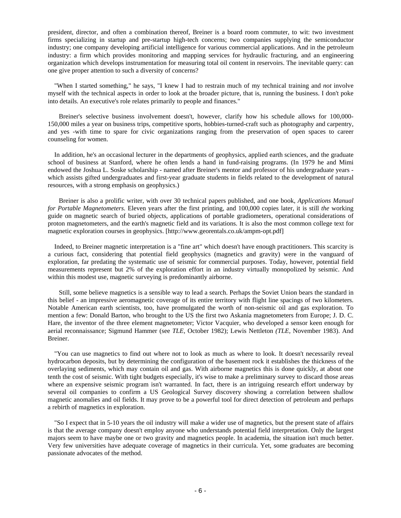president, director, and often a combination thereof, Breiner is a board room commuter, to wit: two investment firms specializing in startup and pre-startup high-tech concerns; two companies supplying the semiconductor industry; one company developing artificial intelligence for various commercial applications. And in the petroleum industry: a firm which provides monitoring and mapping services for hydraulic fracturing, and an engineering organization which develops instrumentation for measuring total oil content in reservoirs. The inevitable query: can one give proper attention to such a diversity of concerns?

"When I started something," he says, "I knew I had to restrain much of my technical training and *not* involve myself with the technical aspects in order to look at the broader picture, that is, running the business. I don't poke into details. An executive's role relates primarily to people and finances."

Breiner's selective business involvement doesn't, however, clarify how his schedule allows for 100,000- 150,000 miles a year on business trips, competitive sports, hobbies-turned-craft such as photography and carpentry, and yes -with time to spare for civic organizations ranging from the preservation of open spaces to career counseling for women.

In addition, he's an occasional lecturer in the departments of geophysics, applied earth sciences, and the graduate school of business at Stanford, where he often lends a hand in fund-raising programs. (In 1979 he and Mimi endowed the Joshua L. Soske scholarship - named after Breiner's mentor and professor of his undergraduate years which assists gifted undergraduates and first-year graduate students in fields related to the development of natural resources, with a strong emphasis on geophysics.)

Breiner is also a prolific writer, with over 30 technical papers published, and one book, *Applications Manual for Portable Magnetometers.* Eleven years after the first printing, and 100,000 copies later, it is still *the* working guide on magnetic search of buried objects, applications of portable gradiometers, operational considerations of proton magnetometers, and the earth's magnetic field and its variations. It is also the most common college text for magnetic exploration courses in geophysics. [http://www.georentals.co.uk/ampm-opt.pdf]

Indeed, to Breiner magnetic interpretation is a "fine art" which doesn't have enough practitioners. This scarcity is a curious fact, considering that potential field geophysics (magnetics and gravity) were in the vanguard of exploration, far predating the systematic use of seismic for commercial purposes. Today, however, potential field measurements represent but 2% of the exploration effort in an industry virtually monopolized by seismic. And within this modest use, magnetic surveying is predominantly airborne.

Still, some believe magnetics is a sensible way to lead a search. Perhaps the Soviet Union bears the standard in this belief - an impressive aeromagnetic coverage of its entire territory with flight line spacings of two kilometers. Notable American earth scientists, too, have promulgated the worth of non-seismic oil and gas exploration. To mention a few: Donald Barton, who brought to the US the first two Askania magnetometers from Europe; J. D. C. Hare, the inventor of the three element magnetometer; Victor Vacquier, who developed a sensor keen enough for aerial reconnaissance; Sigmund Hammer (see *TLE,* October 1982); Lewis Nettleton *(TLE,* November 1983). And Breiner.

"You can use magnetics to find out where not to look as much as where to look. It doesn't necessarily reveal hydrocarbon deposits, but by determining the configuration of the basement rock it establishes the thickness of the overlaying sediments, which may contain oil and gas. With airborne magnetics this is done quickly, at about one tenth the cost of seismic. With tight budgets especially, it's wise to make a preliminary survey to discard those areas where an expensive seismic program isn't warranted. In fact, there is an intriguing research effort underway by several oil companies to confirm a US Geological Survey discovery showing a correlation between shallow magnetic anomalies and oil fields. It may prove to be a powerful tool for direct detection of petroleum and perhaps a rebirth of magnetics in exploration.

"So I expect that in 5-10 years the oil industry will make a wider use of magnetics, but the present state of affairs is that the average company doesn't employ anyone who understands potential field interpretation. Only the largest majors seem to have maybe one or two gravity and magnetics people. In academia, the situation isn't much better. Very few universities have adequate coverage of magnetics in their curricula. Yet, some graduates are becoming passionate advocates of the method.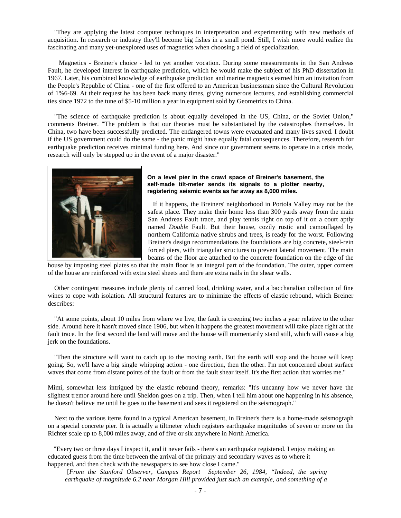"They are applying the latest computer techniques in interpretation and experimenting with new methods of acquisition. In research or industry they'll become big fishes in a small pond. Still, I wish more would realize the fascinating and many yet-unexplored uses of magnetics when choosing a field of specialization.

Magnetics - Breiner's choice - led to yet another vocation. During some measurements in the San Andreas Fault, he developed interest in earthquake prediction, which he would make the subject of his PhD dissertation in 1967. Later, his combined knowledge of earthquake prediction and marine magnetics earned him an invitation from the People's Republic of China - one of the first offered to an American businessman since the Cultural Revolution of 1%6-69. At their request he has been back many times, giving numerous lectures, and establishing commercial ties since 1972 to the tune of \$5-10 million a year in equipment sold by Geometrics to China.

"The science of earthquake prediction is about equally developed in the US, China, or the Soviet Union," comments Breiner. "The problem is that our theories must be substantiated by the catastrophes themselves. In China, two have been successfully predicted. The endangered towns were evacuated and many lives saved. I doubt if the US government could do the same - the panic might have equally fatal consequences. Therefore, research for earthquake prediction receives minimal funding here. And since our government seems to operate in a crisis mode, research will only be stepped up in the event of a major disaster."



## **On a level pier in the crawl space of Breiner's basement, the self-made tilt-meter sends its signals to a plotter nearby, registering seismic events as far away as 8,000 miles.**

 If it happens, the Breiners' neighborhood in Portola Valley may not be the safest place. They make their home less than 300 yards away from the main San Andreas Fault trace, and play tennis right on top of it on a court aptly named *Double* Fault. But their house, cozily rustic and camouflaged by northern California native shrubs and trees, is ready for the worst. Following Breiner's design recommendations the foundations are big concrete, steel-rein forced piers, with triangular structures to prevent lateral movement. The main beams of the floor are attached to the concrete foundation on the edge of the

house by imposing steel plates so that the main floor is an integral part of the foundation. The outer, upper corners of the house are reinforced with extra steel sheets and there are extra nails in the shear walls.

Other contingent measures include plenty of canned food, drinking water, and a bacchanalian collection of fine wines to cope with isolation. All structural features are to minimize the effects of elastic rebound, which Breiner describes:

"At some points, about 10 miles from where we live, the fault is creeping two inches a year relative to the other side. Around here it hasn't moved since 1906, but when it happens the greatest movement will take place right at the fault trace. In the first second the land will move and the house will momentarily stand still, which will cause a big jerk on the foundations.

"Then the structure will want to catch up to the moving earth. But the earth will stop and the house will keep going. So, we'll have a big single whipping action - one direction, then the other. I'm not concerned about surface waves that come from distant points of the fault or from the fault shear itself. It's the first action that worries me."

Mimi, somewhat less intrigued by the elastic rebound theory, remarks: "It's uncanny how we never have the slightest tremor around here until Sheldon goes on a trip. Then, when I tell him about one happening in his absence, he doesn't believe me until he goes to the basement and sees it registered on the seismograph."

Next to the various items found in a typical American basement, in Breiner's there is a home-made seismograph on a special concrete pier. It is actually a tiltmeter which registers earthquake magnitudes of seven or more on the Richter scale up to 8,000 miles away, and of five or six anywhere in North America.

"Every two or three days I inspect it, and it never fails - there's an earthquake registered. I enjoy making an educated guess from the time between the arrival of the primary and secondary waves as to where it happened, and then check with the newspapers to see how close I came."

[*From the Stanford Observer, Campus Report September 26, 1984, "Indeed, the spring earthquake of magnitude 6.2 near Morgan Hill provided just such an example, and something of a*